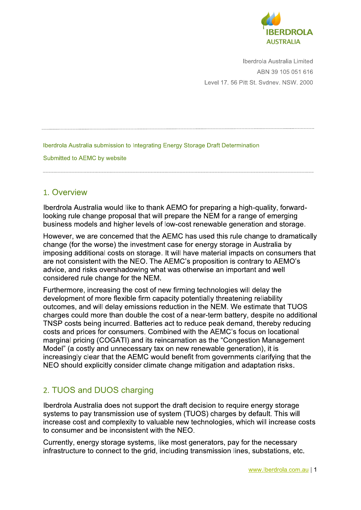

Iberdrola Australia Limited ABN 39 105 051 616 Level 17. 56 Pitt St. Svdnev. NSW. 2000

Iberdrola Australia submission to Integrating Energy Storage Draft Determination

Submitted to AEMC by website

# 1. Overview

Iberdrola Australia would like to thank AEMO for preparing a high-quality, forwardlooking rule change proposal that will prepare the NEM for a range of emerging business models and higher levels of low-cost renewable generation and storage.

However, we are concerned that the AEMC has used this rule change to dramatically change (for the worse) the investment case for energy storage in Australia by imposing additional costs on storage. It will have material impacts on consumers that are not consistent with the NEO. The AEMC's proposition is contrary to AEMO's advice, and risks overshadowing what was otherwise an important and well considered rule change for the NEM.

Furthermore, increasing the cost of new firming technologies will delay the development of more flexible firm capacity potentially threatening reliability outcomes, and will delay emissions reduction in the NEM. We estimate that TUOS charges could more than double the cost of a near-term battery, despite no additional TNSP costs being incurred. Batteries act to reduce peak demand, thereby reducing costs and prices for consumers. Combined with the AEMC's focus on locational marginal pricing (COGATI) and its reincarnation as the "Congestion Management Model" (a costly and unnecessary tax on new renewable generation), it is increasingly clear that the AEMC would benefit from governments clarifying that the NEO should explicitly consider climate change mitigation and adaptation risks.

# 2. TUOS and DUOS charging

Iberdrola Australia does not support the draft decision to require energy storage systems to pay transmission use of system (TUOS) charges by default. This will increase cost and complexity to valuable new technologies, which will increase costs to consumer and be inconsistent with the NEO.

Currently, energy storage systems, like most generators, pay for the necessary infrastructure to connect to the grid, including transmission lines, substations, etc.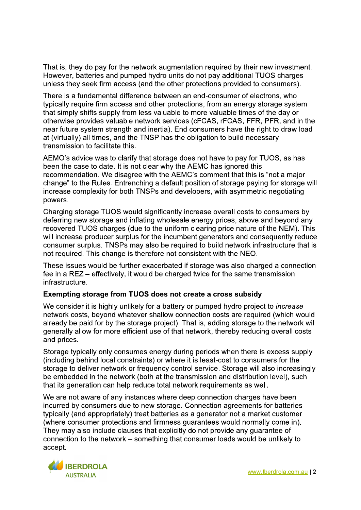That is, they do pay for the network augmentation required by their new investment. However, batteries and pumped hydro units do not pay additional TUOS charges unless they seek firm access (and the other protections provided to consumers).

There is a fundamental difference between an end-consumer of electrons, who typically require firm access and other protections, from an energy storage system that simply shifts supply from less valuable to more valuable times of the day or otherwise provides valuable network services (cFCAS, rFCAS, FFR, PFR, and in the near future system strength and inertia). End consumers have the right to draw load at (virtually) all times, and the TNSP has the obligation to build necessary transmission to facilitate this.

AEMO's advice was to clarify that storage does not have to pay for TUOS, as has been the case to date. It is not clear why the AEMC has ignored this recommendation. We disagree with the AEMC's comment that this is "not a major change" to the Rules. Entrenching a default position of storage paying for storage will increase complexity for both TNSPs and developers, with asymmetric negotiating powers.

Charging storage TUOS would significantly increase overall costs to consumers by deferring new storage and inflating wholesale energy prices, above and beyond any recovered TUOS charges (due to the uniform clearing price nature of the NEM). This will increase producer surplus for the incumbent generators and consequently reduce consumer surplus. TNSPs may also be required to build network infrastructure that is not required. This change is therefore not consistent with the NEO.

These issues would be further exacerbated if storage was also charged a connection fee in a REZ – effectively, it would be charged twice for the same transmission infrastructure.

# Exempting storage from TUOS does not create a cross subsidy

We consider it is highly unlikely for a battery or pumped hydro project to *increase* network costs, beyond whatever shallow connection costs are required (which would already be paid for by the storage project). That is, adding storage to the network will generally allow for more efficient use of that network, thereby reducing overall costs and prices.

Storage typically only consumes energy during periods when there is excess supply (including behind local constraints) or where it is least-cost to consumers for the storage to deliver network or frequency control service. Storage will also increasingly be embedded in the network (both at the transmission and distribution level), such that its generation can help reduce total network requirements as well.

We are not aware of any instances where deep connection charges have been incurred by consumers due to new storage. Connection agreements for batteries typically (and appropriately) treat batteries as a generator not a market customer (where consumer protections and firmness quarantees would normally come in). They may also include clauses that explicitly do not provide any guarantee of connection to the network – something that consumer loads would be unlikely to accept.

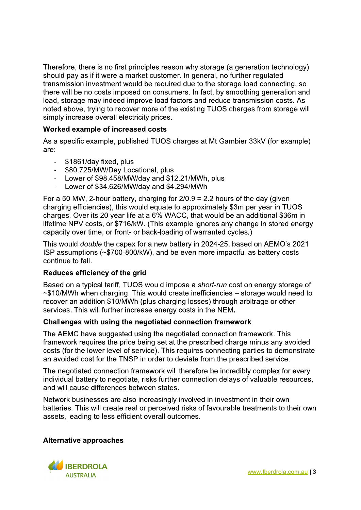Therefore, there is no first principles reason why storage (a generation technology) should pay as if it were a market customer. In general, no further regulated transmission investment would be required due to the storage load connecting, so there will be no costs imposed on consumers. In fact, by smoothing generation and load, storage may indeed improve load factors and reduce transmission costs. As noted above, trving to recover more of the existing TUOS charges from storage will simply increase overall electricity prices.

# Worked example of increased costs

As a specific example, published TUOS charges at Mt Gambier 33kV (for example) are:

- \$1861/day fixed, plus
- \$80.725/MW/Dav Locational, plus
- Lower of \$98.458/MW/day and \$12.21/MWh, plus
- Lower of \$34.626/MW/day and \$4.294/MWh  $\blacksquare$

For a 50 MW, 2-hour battery, charging for  $2/0.9 = 2.2$  hours of the day (given charging efficiencies), this would equate to approximately \$3m per year in TUOS charges. Over its 20 year life at a 6% WACC, that would be an additional \$36m in lifetime NPV costs, or \$716/kW. (This example ignores any change in stored energy capacity over time, or front- or back-loading of warranted cycles.)

This would *double* the capex for a new battery in 2024-25, based on AEMO's 2021 ISP assumptions (~\$700-800/kW), and be even more impactful as battery costs continue to fall.

# Reduces efficiency of the grid

Based on a typical tariff, TUOS would impose a short-run cost on energy storage of  $\sim$ \$10/MWh when charging. This would create inefficiencies  $-$  storage would need to recover an addition \$10/MWh (plus charging losses) through arbitrage or other services. This will further increase energy costs in the NEM.

# Challenges with using the negotiated connection framework

The AEMC have suggested using the negotiated connection framework. This framework requires the price being set at the prescribed charge minus any avoided costs (for the lower level of service). This requires connecting parties to demonstrate an avoided cost for the TNSP in order to deviate from the prescribed service.

The negotiated connection framework will therefore be incredibly complex for every individual battery to negotiate, risks further connection delays of valuable resources, and will cause differences between states.

Network businesses are also increasingly involved in investment in their own batteries. This will create real or perceived risks of favourable treatments to their own assets, leading to less efficient overall outcomes.

#### **Alternative approaches**

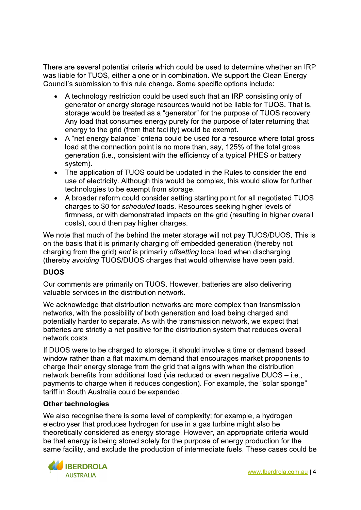There are several potential criteria which could be used to determine whether an IRP was liable for TUOS, either alone or in combination. We support the Clean Energy Council's submission to this rule change. Some specific options include:

- A technology restriction could be used such that an IRP consisting only of generator or energy storage resources would not be liable for TUOS. That is, storage would be treated as a "generator" for the purpose of TUOS recovery. Any load that consumes energy purely for the purpose of later returning that energy to the grid (from that facility) would be exempt.
- A "net energy balance" criteria could be used for a resource where total gross load at the connection point is no more than, say, 125% of the total gross generation (i.e., consistent with the efficiency of a typical PHES or battery system).
- The application of TUOS could be updated in the Rules to consider the end- $\bullet$ use of electricity. Although this would be complex, this would allow for further technologies to be exempt from storage.
- A broader reform could consider setting starting point for all negotiated TUOS  $\bullet$ charges to \$0 for scheduled loads. Resources seeking higher levels of firmness, or with demonstrated impacts on the grid (resulting in higher overall costs), could then pay higher charges.

We note that much of the behind the meter storage will not pay TUOS/DUOS. This is on the basis that it is primarily charging off embedded generation (thereby not charging from the grid) and is primarily offsetting local load when discharging (thereby avoiding TUOS/DUOS charges that would otherwise have been paid.

# **DUOS**

Our comments are primarily on TUOS. However, batteries are also delivering valuable services in the distribution network.

We acknowledge that distribution networks are more complex than transmission networks, with the possibility of both generation and load being charged and potentially harder to separate. As with the transmission network, we expect that batteries are strictly a net positive for the distribution system that reduces overall network costs.

If DUOS were to be charged to storage, it should involve a time or demand based window rather than a flat maximum demand that encourages market proponents to charge their energy storage from the grid that aligns with when the distribution network benefits from additional load (via reduced or even negative DUOS - i.e., payments to charge when it reduces congestion). For example, the "solar sponge" tariff in South Australia could be expanded.

# **Other technologies**

We also recognise there is some level of complexity; for example, a hydrogen electrolyser that produces hydrogen for use in a gas turbine might also be theoretically considered as energy storage. However, an appropriate criteria would be that energy is being stored solely for the purpose of energy production for the same facility, and exclude the production of intermediate fuels. These cases could be

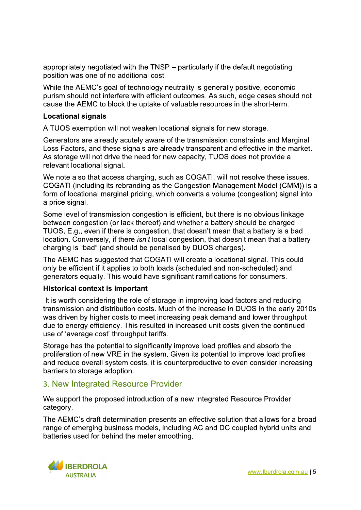appropriately negotiated with the TNSP – particularly if the default negotiating position was one of no additional cost.

While the AEMC's goal of technology neutrality is generally positive, economic purism should not interfere with efficient outcomes. As such, edge cases should not cause the AEMC to block the uptake of valuable resources in the short-term.

#### **Locational signals**

A TUOS exemption will not weaken locational signals for new storage.

Generators are already acutely aware of the transmission constraints and Marginal Loss Factors, and these signals are already transparent and effective in the market. As storage will not drive the need for new capacity, TUOS does not provide a relevant locational signal.

We note also that access charging, such as COGATI, will not resolve these issues. COGATI (including its rebranding as the Congestion Management Model (CMM)) is a form of locational marginal pricing, which converts a volume (congestion) signal into a price signal.

Some level of transmission congestion is efficient, but there is no obvious linkage between congestion (or lack thereof) and whether a battery should be charged TUOS. E.g., even if there is congestion, that doesn't mean that a battery is a bad location. Conversely, if there *isn't* local congestion, that doesn't mean that a battery charging is "bad" (and should be penalised by DUOS charges).

The AEMC has suggested that COGATI will create a locational signal. This could only be efficient if it applies to both loads (scheduled and non-scheduled) and generators equally. This would have significant ramifications for consumers.

# **Historical context is important**

It is worth considering the role of storage in improving load factors and reducing transmission and distribution costs. Much of the increase in DUOS in the early 2010s was driven by higher costs to meet increasing peak demand and lower throughput due to energy efficiency. This resulted in increased unit costs given the continued use of 'average cost' throughput tariffs.

Storage has the potential to significantly improve load profiles and absorb the proliferation of new VRE in the system. Given its potential to improve load profiles and reduce overall system costs, it is counterproductive to even consider increasing barriers to storage adoption.

# 3. New Integrated Resource Provider

We support the proposed introduction of a new Integrated Resource Provider category.

The AEMC's draft determination presents an effective solution that allows for a broad range of emerging business models, including AC and DC coupled hybrid units and batteries used for behind the meter smoothing.

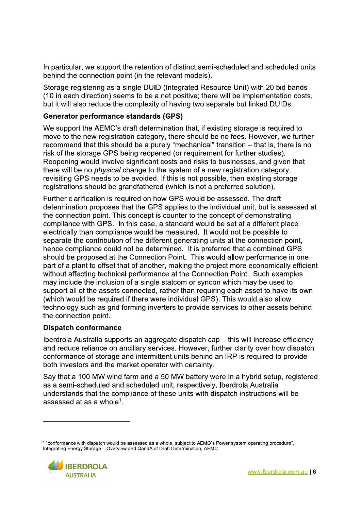In particular, we support the retention of distinct semi-scheduled and scheduled units behind the connection point (in the relevant models).

Storage registering as a single DUID (Integrated Resource Unit) with 20 bid bands (10 in each direction) seems to be a net positive; there will be implementation costs, but it will also reduce the complexity of having two separate but linked DUIDs.

# **Generator performance standards (GPS)**

We support the AEMC's draft determination that, if existing storage is required to move to the new registration category, there should be no fees. However, we further recommend that this should be a purely "mechanical" transition – that is, there is no risk of the storage GPS being reopened (or requirement for further studies). Reopening would involve significant costs and risks to businesses, and given that there will be no *physical* change to the system of a new registration category. revisiting GPS needs to be avoided. If this is not possible, then existing storage registrations should be grandfathered (which is not a preferred solution).

Further clarification is required on how GPS would be assessed. The draft determination proposes that the GPS applies to the individual unit, but is assessed at the connection point. This concept is counter to the concept of demonstrating compliance with GPS. In this case, a standard would be set at a different place electrically than compliance would be measured. It would not be possible to separate the contribution of the different generating units at the connection point, hence compliance could not be determined. It is preferred that a combined GPS should be proposed at the Connection Point. This would allow performance in one part of a plant to offset that of another, making the project more economically efficient without affecting technical performance at the Connection Point. Such examples may include the inclusion of a single statcom or syncon which may be used to support all of the assets connected, rather than requiring each asset to have its own (which would be required if there were individual GPS). This would also allow technology such as grid forming inverters to provide services to other assets behind the connection point.

# **Dispatch conformance**

Iberdrola Australia supports an aggregate dispatch cap - this will increase efficiency and reduce reliance on ancillary services. However, further clarity over how dispatch conformance of storage and intermittent units behind an IRP is required to provide both investors and the market operator with certainty.

Say that a 100 MW wind farm and a 50 MW battery were in a hybrid setup, registered as a semi-scheduled and scheduled unit, respectively. Iberdrola Australia understands that the compliance of these units with dispatch instructions will be assessed at as a whole<sup>1</sup>

<sup>&</sup>lt;sup>1</sup> "conformance with dispatch would be assessed as a whole, subject to AEMO's Power system operating procedure", Integrating Energy Storage - Overview and QandA of Draft Determination, AEMC